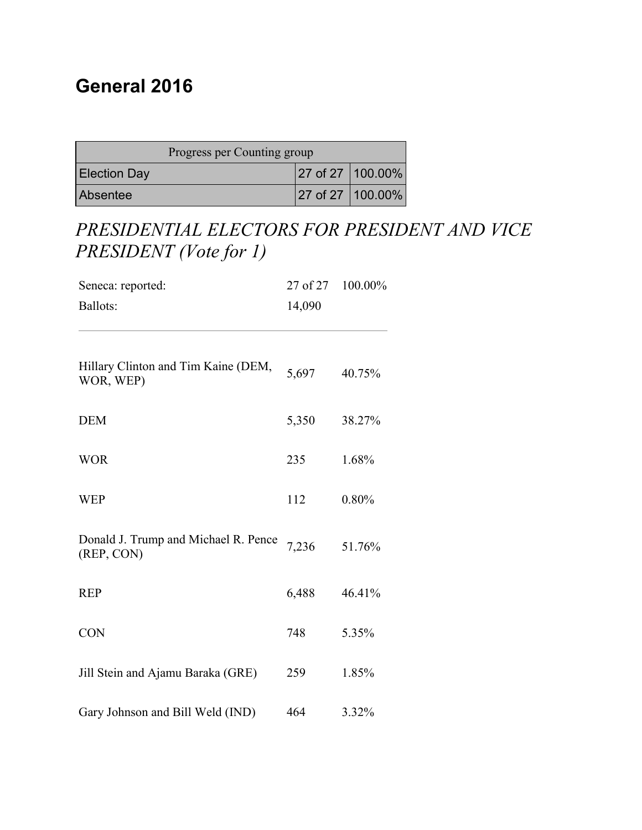#### **General 2016**

| Progress per Counting group |  |                    |
|-----------------------------|--|--------------------|
| <b>Election Day</b>         |  | 27 of 27   100.00% |
| Absentee                    |  | 27 of 27   100,00% |

### *PRESIDENTIAL ELECTORS FOR PRESIDENT AND VICE PRESIDENT (Vote for 1)*

| Seneca: reported:                                  | 27 of 27 | 100.00% |
|----------------------------------------------------|----------|---------|
| <b>Ballots:</b>                                    | 14,090   |         |
| Hillary Clinton and Tim Kaine (DEM,<br>WOR, WEP)   | 5,697    | 40.75%  |
| <b>DEM</b>                                         | 5,350    | 38.27%  |
| <b>WOR</b>                                         | 235      | 1.68%   |
| <b>WEP</b>                                         | 112      | 0.80%   |
| Donald J. Trump and Michael R. Pence<br>(REP, CON) | 7,236    | 51.76%  |
| <b>REP</b>                                         | 6,488    | 46.41%  |
| <b>CON</b>                                         | 748      | 5.35%   |
| Jill Stein and Ajamu Baraka (GRE)                  | 259      | 1.85%   |
| Gary Johnson and Bill Weld (IND)                   | 464      | 3.32%   |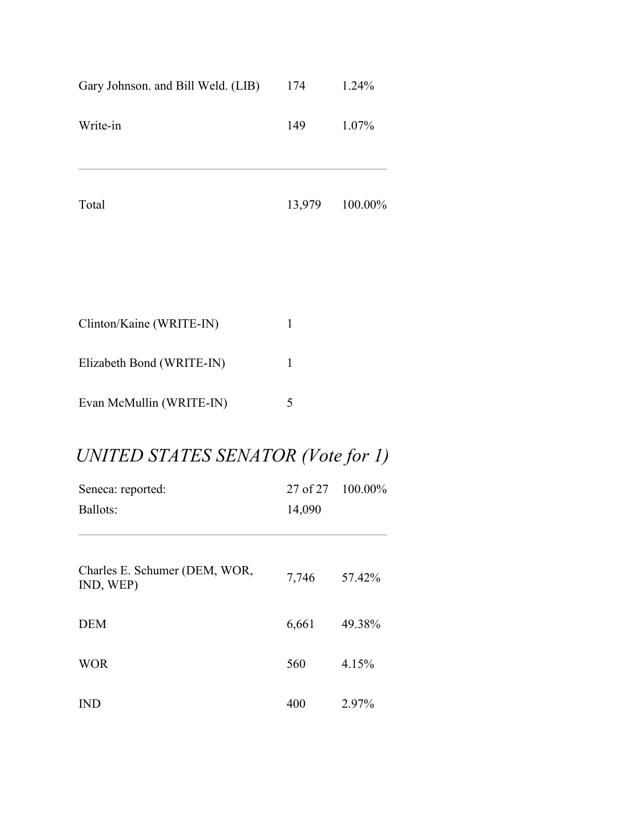| Gary Johnson. and Bill Weld. (LIB) | 174          | 1.24%   |
|------------------------------------|--------------|---------|
| Write-in                           | 149          | 1.07%   |
| Total                              | 13,979       | 100.00% |
|                                    |              |         |
| Clinton/Kaine (WRITE-IN)           | $\mathbf{1}$ |         |
| Elizabeth Bond (WRITE-IN)          | 1            |         |

# *UNITED STATES SENATOR (Vote for 1)*

Evan McMullin (WRITE-IN) 5

| Seneca: reported:                          | 27 of 27 | 100.00% |
|--------------------------------------------|----------|---------|
| Ballots:                                   | 14,090   |         |
|                                            |          |         |
| Charles E. Schumer (DEM, WOR,<br>IND, WEP) | 7,746    | 57.42%  |
| <b>DEM</b>                                 | 6,661    | 49.38%  |
| <b>WOR</b>                                 | 560      | 4.15%   |
| $\mathbb{N}\mathbb{D}$                     | 400      | 2.97%   |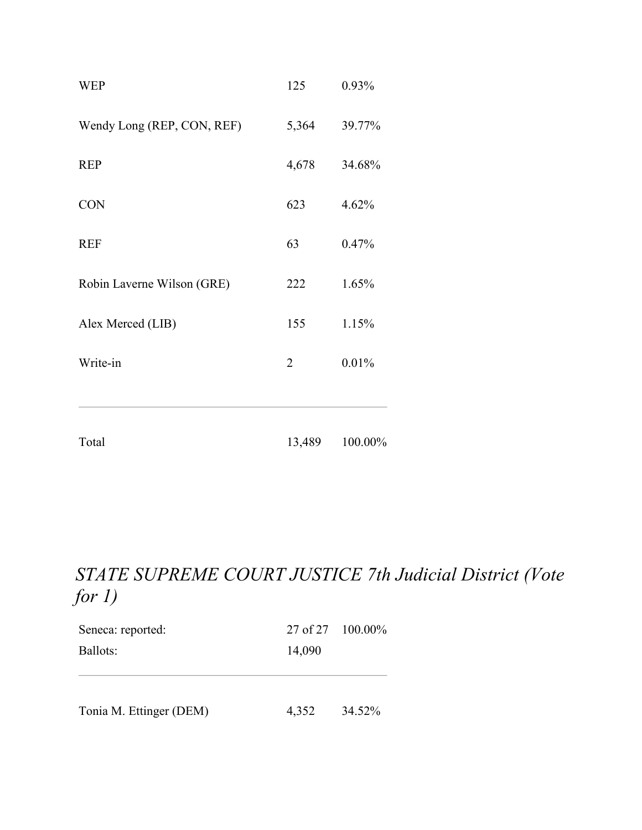| <b>WEP</b>                 | 125            | 0.93%   |
|----------------------------|----------------|---------|
| Wendy Long (REP, CON, REF) | 5,364          | 39.77%  |
| <b>REP</b>                 | 4,678          | 34.68%  |
| <b>CON</b>                 | 623            | 4.62%   |
| <b>REF</b>                 | 63             | 0.47%   |
| Robin Laverne Wilson (GRE) | 222            | 1.65%   |
| Alex Merced (LIB)          | 155            | 1.15%   |
| Write-in                   | $\overline{2}$ | 0.01%   |
| Total                      | 13,489         | 100.00% |

#### *STATE SUPREME COURT JUSTICE 7th Judicial District (Vote for 1)*

| Seneca: reported:       | $27 \text{ of } 27$ 100.00% |        |
|-------------------------|-----------------------------|--------|
| Ballots:                | 14,090                      |        |
|                         |                             |        |
|                         |                             |        |
| Tonia M. Ettinger (DEM) | 4,352                       | 34.52% |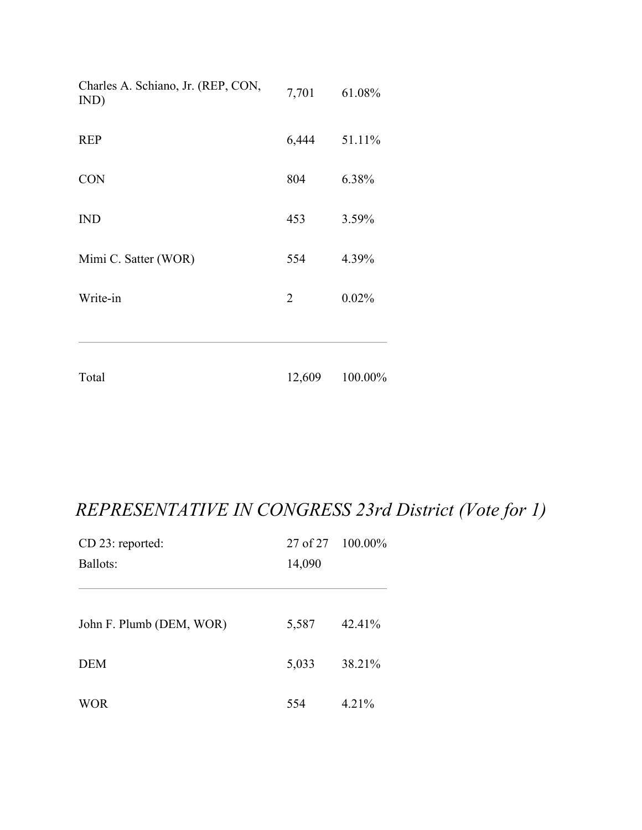| Total                                      | 12,609         | 100.00% |
|--------------------------------------------|----------------|---------|
| Write-in                                   | $\overline{2}$ | 0.02%   |
| Mimi C. Satter (WOR)                       | 554            | 4.39%   |
| <b>IND</b>                                 | 453            | 3.59%   |
| <b>CON</b>                                 | 804            | 6.38%   |
| <b>REP</b>                                 | 6,444          | 51.11%  |
| Charles A. Schiano, Jr. (REP, CON,<br>IND) | 7,701          | 61.08%  |

# *REPRESENTATIVE IN CONGRESS 23rd District (Vote for 1)*

| CD 23: reported:         |        | 27 of 27 100.00% |
|--------------------------|--------|------------------|
| Ballots:                 | 14,090 |                  |
|                          |        |                  |
| John F. Plumb (DEM, WOR) | 5,587  | 42.41%           |
| <b>DEM</b>               | 5,033  | 38.21%           |
| <b>WOR</b>               | 554    | 4.21%            |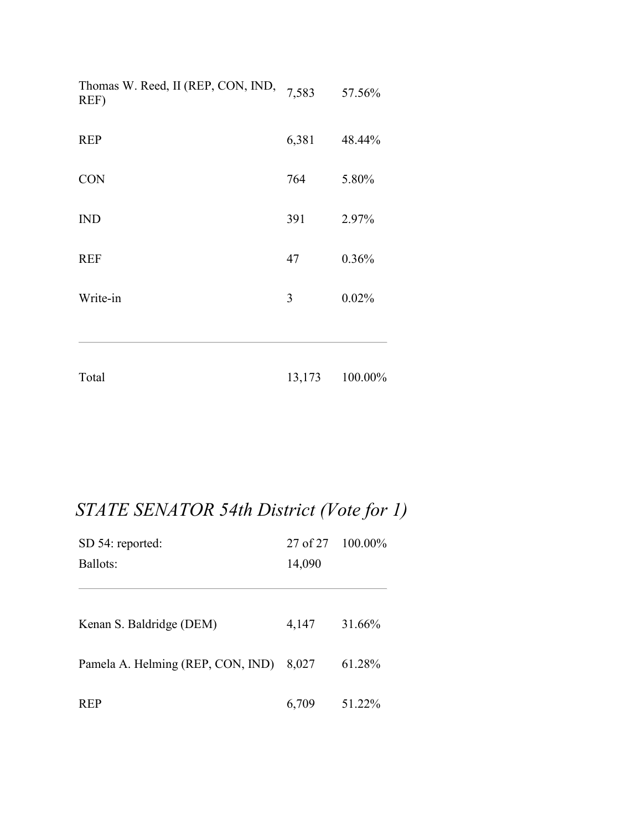| Total                                      | 13,173 | 100.00% |
|--------------------------------------------|--------|---------|
| Write-in                                   | 3      | 0.02%   |
| <b>REF</b>                                 | 47     | 0.36%   |
| <b>IND</b>                                 | 391    | 2.97%   |
| <b>CON</b>                                 | 764    | 5.80%   |
| <b>REP</b>                                 | 6,381  | 48.44%  |
| Thomas W. Reed, II (REP, CON, IND,<br>REF) | 7,583  | 57.56%  |

# *STATE SENATOR 54th District (Vote for 1)*

| SD 54: reported:                  |        | 27 of 27 100.00% |
|-----------------------------------|--------|------------------|
| Ballots:                          | 14,090 |                  |
|                                   |        |                  |
| Kenan S. Baldridge (DEM)          | 4,147  | 31.66%           |
| Pamela A. Helming (REP, CON, IND) | 8,027  | 61.28%           |
| <b>REP</b>                        | 6,709  | 51.22%           |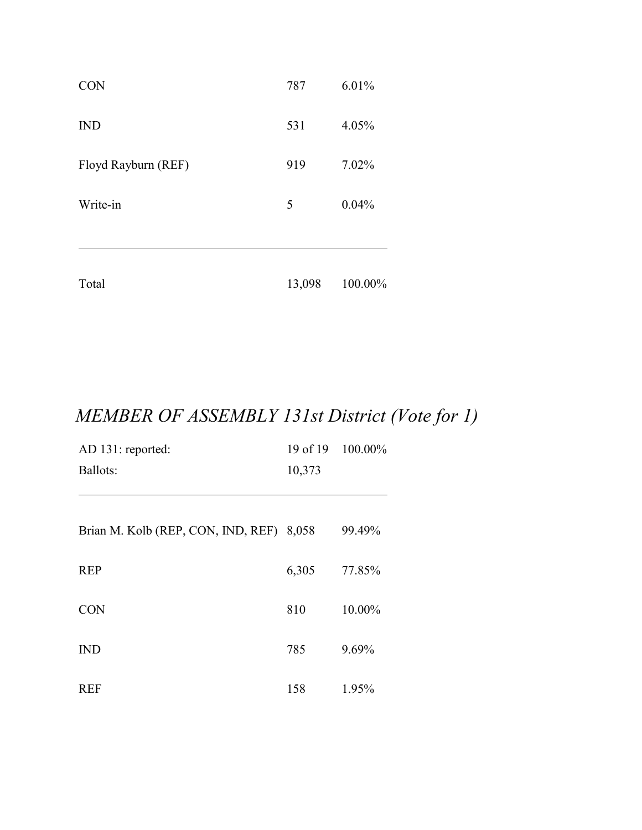| Total               | 13,098 | 100.00% |
|---------------------|--------|---------|
| Write-in            | 5      | 0.04%   |
| Floyd Rayburn (REF) | 919    | 7.02%   |
| <b>IND</b>          | 531    | 4.05%   |
| <b>CON</b>          | 787    | 6.01%   |

# *MEMBER OF ASSEMBLY 131st District (Vote for 1)*

| AD 131: reported:                  | 19 of 19 | 100.00% |
|------------------------------------|----------|---------|
| Ballots:                           | 10,373   |         |
|                                    |          |         |
| Brian M. Kolb (REP, CON, IND, REF) | 8,058    | 99.49%  |
| <b>REP</b>                         | 6,305    | 77.85%  |
| <b>CON</b>                         | 810      | 10.00%  |
| <b>IND</b>                         | 785      | 9.69%   |
| <b>REF</b>                         | 158      | 1.95%   |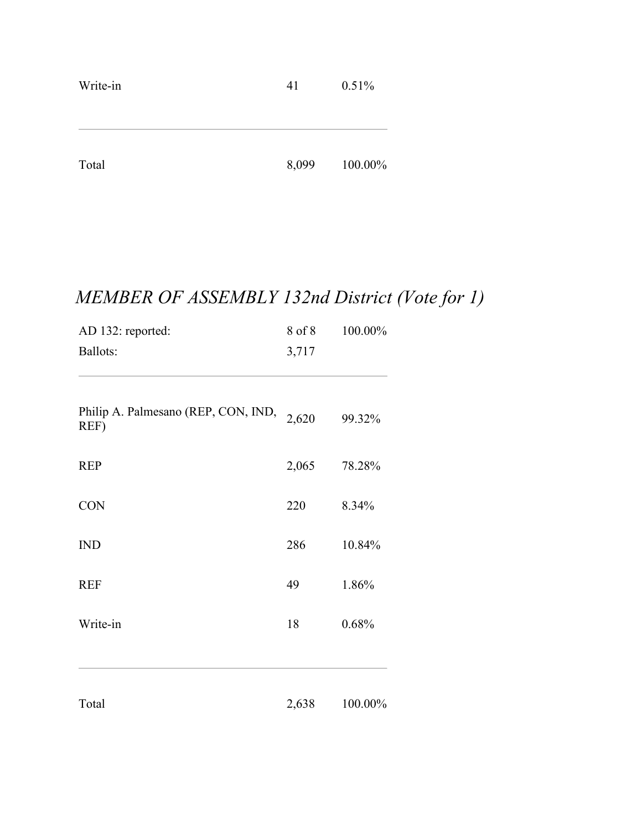| Write-in | 41    | 0.51%   |
|----------|-------|---------|
|          |       |         |
| Total    | 8,099 | 100.00% |
|          |       |         |

# *MEMBER OF ASSEMBLY 132nd District (Vote for 1)*

| AD 132: reported:                           | 8 of 8 | 100.00% |
|---------------------------------------------|--------|---------|
| Ballots:                                    | 3,717  |         |
|                                             |        |         |
| Philip A. Palmesano (REP, CON, IND,<br>REF) | 2,620  | 99.32%  |
| <b>REP</b>                                  | 2,065  | 78.28%  |
| <b>CON</b>                                  | 220    | 8.34%   |
| <b>IND</b>                                  | 286    | 10.84%  |
| <b>REF</b>                                  | 49     | 1.86%   |
| Write-in                                    | 18     | 0.68%   |
|                                             |        |         |
| Total                                       | 2,638  | 100.00% |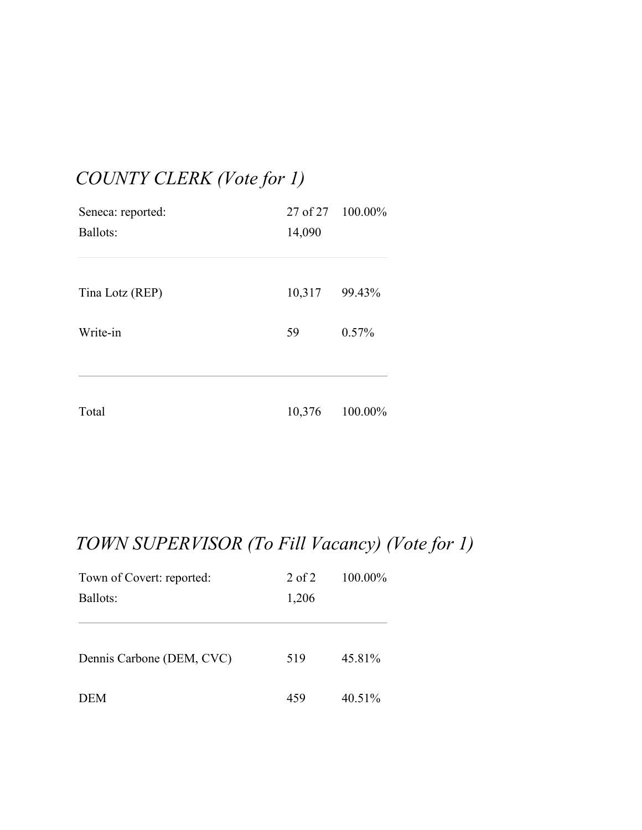## *COUNTY CLERK (Vote for 1)*

| Seneca: reported: | 27 of 27 100.00% |         |  |
|-------------------|------------------|---------|--|
| Ballots:          | 14,090           |         |  |
|                   |                  |         |  |
| Tina Lotz (REP)   | 10,317           | 99.43%  |  |
| Write-in          | 59               | 0.57%   |  |
|                   |                  |         |  |
| Total             | 10,376           | 100.00% |  |

# *TOWN SUPERVISOR (To Fill Vacancy) (Vote for 1)*

| Town of Covert: reported: | $2$ of $2$ | 100.00% |
|---------------------------|------------|---------|
| Ballots:                  | 1,206      |         |
|                           |            |         |
| Dennis Carbone (DEM, CVC) | 519        | 45.81%  |
| <b>DEM</b>                | 459        | 40.51%  |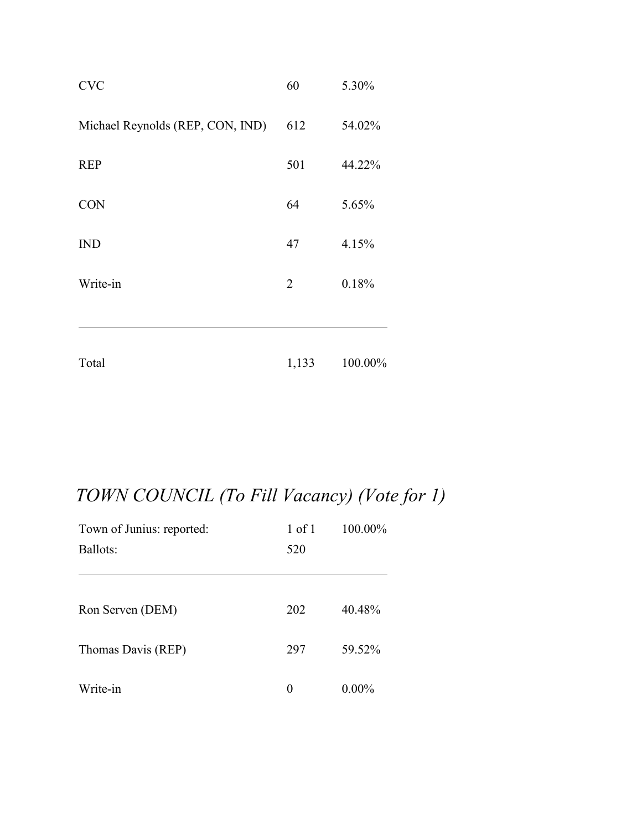| Total                            | 1,133          | 100.00% |
|----------------------------------|----------------|---------|
| Write-in                         | $\overline{2}$ | 0.18%   |
| <b>IND</b>                       | 47             | 4.15%   |
| <b>CON</b>                       | 64             | 5.65%   |
| <b>REP</b>                       | 501            | 44.22%  |
| Michael Reynolds (REP, CON, IND) | 612            | 54.02%  |
| <b>CVC</b>                       | 60             | 5.30%   |

# *TOWN COUNCIL (To Fill Vacancy) (Vote for 1)*

| Town of Junius: reported: | $1$ of $1$ | 100.00%  |
|---------------------------|------------|----------|
| Ballots:                  | 520        |          |
|                           |            |          |
| Ron Serven (DEM)          | 202        | 40.48%   |
| Thomas Davis (REP)        | 297        | 59.52%   |
| Write-in                  | $\Omega$   | $0.00\%$ |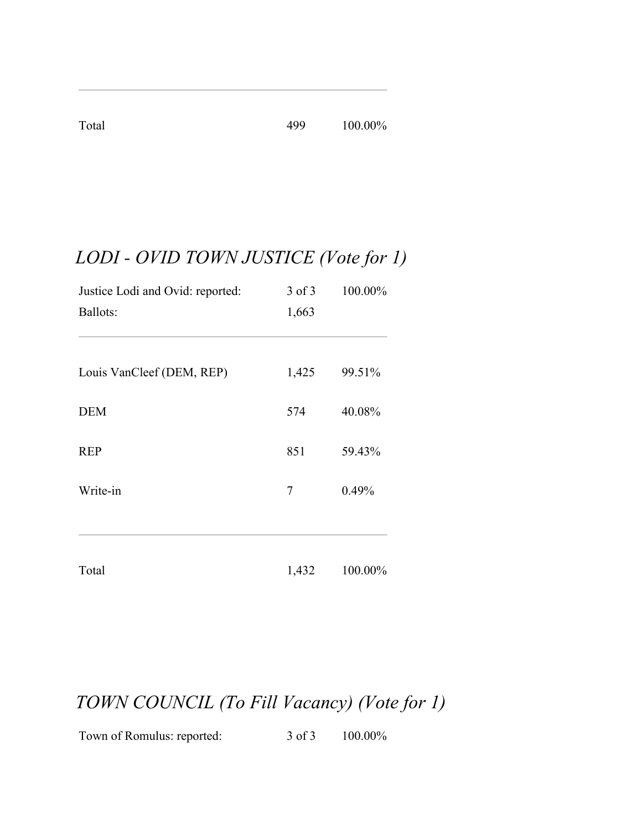Total 499 100.00%

# *LODI - OVID TOWN JUSTICE (Vote for 1)*

| Justice Lodi and Ovid: reported: | $3$ of $3$ | 100.00% |  |
|----------------------------------|------------|---------|--|
| Ballots:                         | 1,663      |         |  |
|                                  |            |         |  |
| Louis VanCleef (DEM, REP)        | 1,425      | 99.51%  |  |
| <b>DEM</b>                       | 574        | 40.08%  |  |
| <b>REP</b>                       | 851        | 59.43%  |  |
| Write-in                         | 7          | 0.49%   |  |
|                                  |            |         |  |
| Total                            | 1,432      | 100.00% |  |

## *TOWN COUNCIL (To Fill Vacancy) (Vote for 1)*

Town of Romulus: reported: 3 of 3 100.00%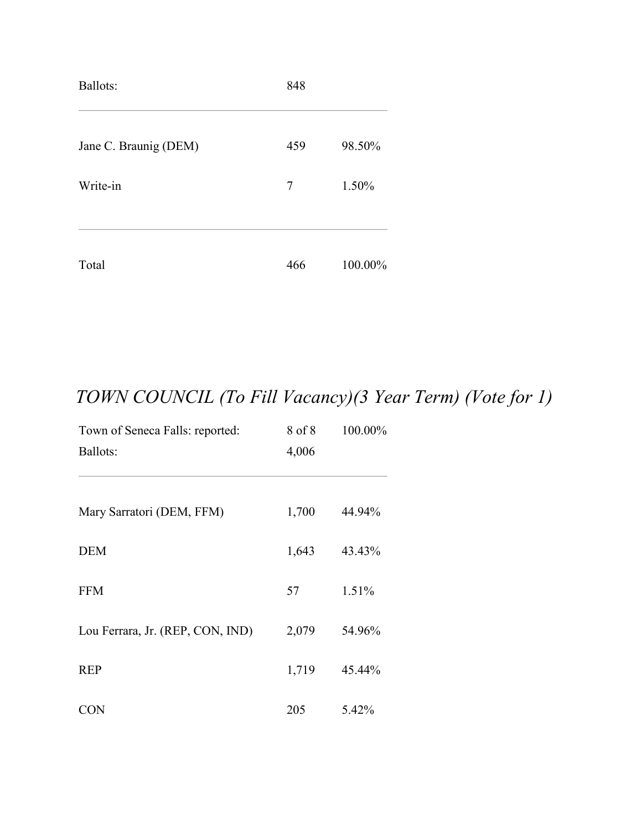| Ballots:              | 848 |         |
|-----------------------|-----|---------|
| Jane C. Braunig (DEM) | 459 | 98.50%  |
| Write-in              | 7   | 1.50%   |
| Total                 | 466 | 100.00% |

# *TOWN COUNCIL (To Fill Vacancy)(3 Year Term) (Vote for 1)*

| Town of Seneca Falls: reported:  | 8 of 8 | 100.00% |
|----------------------------------|--------|---------|
| <b>Ballots:</b>                  | 4,006  |         |
|                                  |        |         |
| Mary Sarratori (DEM, FFM)        | 1,700  | 44.94%  |
| <b>DEM</b>                       | 1,643  | 43.43%  |
| <b>FFM</b>                       | 57     | 1.51%   |
| Lou Ferrara, Jr. (REP, CON, IND) | 2,079  | 54.96%  |
| <b>REP</b>                       | 1,719  | 45.44%  |
| <b>CON</b>                       | 205    | 5.42%   |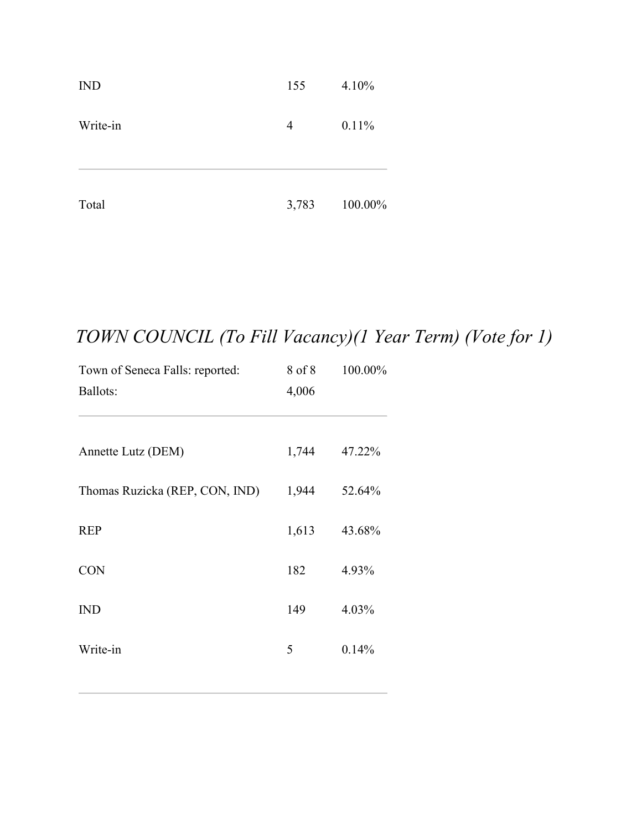| Total      | 3,783 | 100.00% |
|------------|-------|---------|
| Write-in   | 4     | 0.11%   |
| <b>IND</b> | 155   | 4.10%   |

## *TOWN COUNCIL (To Fill Vacancy)(1 Year Term) (Vote for 1)*

| Town of Seneca Falls: reported: | 8 of 8 | 100.00% |
|---------------------------------|--------|---------|
| Ballots:                        | 4,006  |         |
| Annette Lutz (DEM)              | 1,744  | 47.22%  |
| Thomas Ruzicka (REP, CON, IND)  | 1,944  | 52.64%  |
| <b>REP</b>                      | 1,613  | 43.68%  |
| <b>CON</b>                      | 182    | 4.93%   |
| <b>IND</b>                      | 149    | 4.03%   |
| Write-in                        | 5      | 0.14%   |
|                                 |        |         |